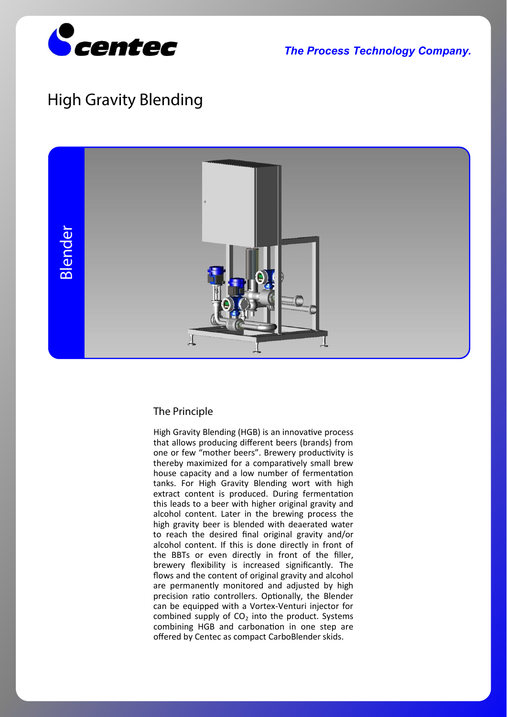

*The Process Technology Company.*

# **High Gravity Blending**



## **The Principle**

High Gravity Blending (HGB) is an innovative process that allows producing different beers (brands) from one or few "mother beers". Brewery productivity is thereby maximized for a comparatively small brew house capacity and a low number of fermentation tanks. For High Gravity Blending wort with high extract content is produced. During fermentation this leads to a beer with higher original gravity and alcohol content. Later in the brewing process the high gravity beer is blended with deaerated water to reach the desired final original gravity and/or alcohol content. If this is done directly in front of the BBTs or even directly in front of the filler, brewery flexibility is increased significantly. The flows and the content of original gravity and alcohol are permanently monitored and adjusted by high precision ratio controllers. Optionally, the Blender can be equipped with a Vortex-Venturi injector for combined supply of  $CO<sub>2</sub>$  into the product. Systems combining HGB and carbonation in one step are offered by Centec as compact CarboBlender skids.